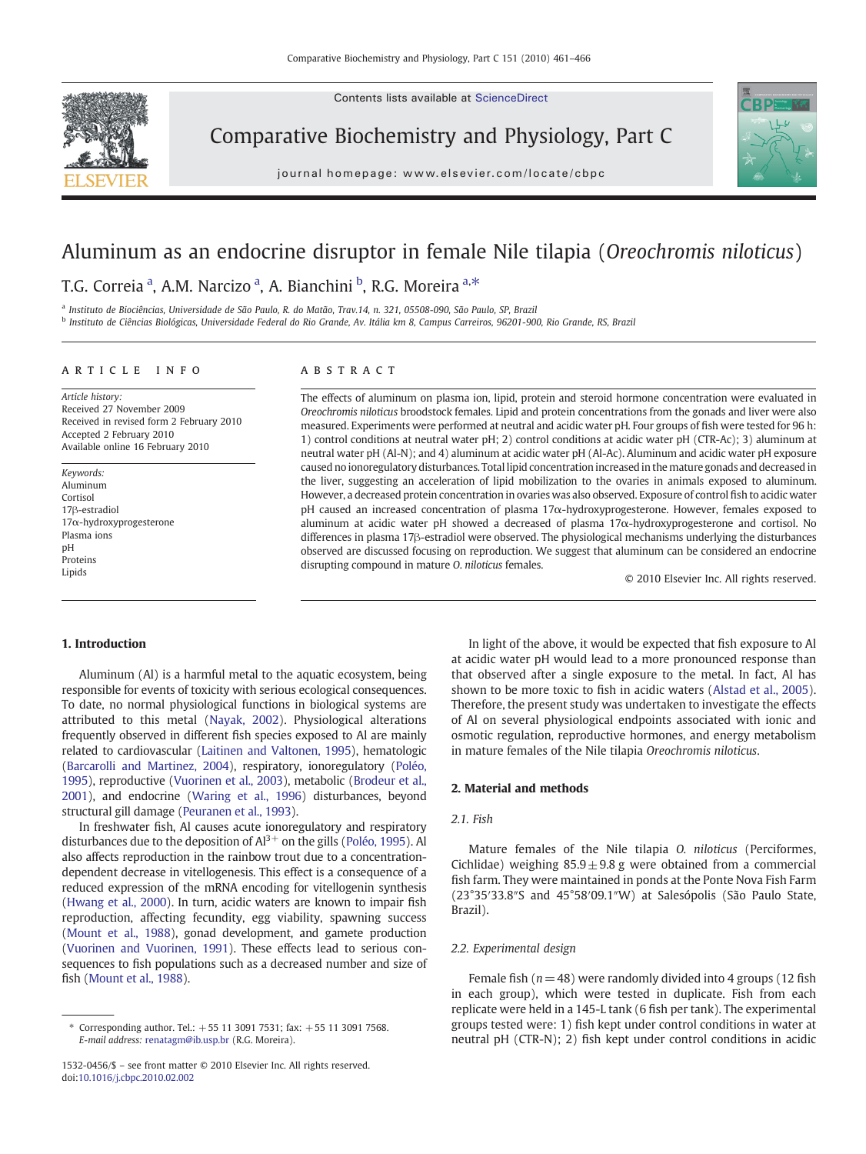Contents lists available at ScienceDirect



Comparative Biochemistry and Physiology, Part C





# Aluminum as an endocrine disruptor in female Nile tilapia (Oreochromis niloticus)

## T.G. Correia <sup>a</sup>, A.M. Narcizo <sup>a</sup>, A. Bianchini <sup>b</sup>, R.G. Moreira <sup>a,\*</sup>

<sup>a</sup> Instituto de Biociências, Universidade de São Paulo, R. do Matão, Trav.14, n. 321, 05508-090, São Paulo, SP, Brazil

<sup>b</sup> Instituto de Ciências Biológicas, Universidade Federal do Rio Grande, Av. Itália km 8, Campus Carreiros, 96201-900, Rio Grande, RS, Brazil

#### article info abstract

Article history: Received 27 November 2009 Received in revised form 2 February 2010 Accepted 2 February 2010 Available online 16 February 2010

Keywords: Aluminum Cortisol 17β-estradiol 17α-hydroxyprogesterone Plasma ions pH Proteins Lipids

The effects of aluminum on plasma ion, lipid, protein and steroid hormone concentration were evaluated in Oreochromis niloticus broodstock females. Lipid and protein concentrations from the gonads and liver were also measured. Experiments were performed at neutral and acidic water pH. Four groups of fish were tested for 96 h: 1) control conditions at neutral water pH; 2) control conditions at acidic water pH (CTR-Ac); 3) aluminum at neutral water pH (Al-N); and 4) aluminum at acidic water pH (Al-Ac). Aluminum and acidic water pH exposure caused no ionoregulatory disturbances. Total lipid concentration increased in the mature gonads and decreased in the liver, suggesting an acceleration of lipid mobilization to the ovaries in animals exposed to aluminum. However, a decreased protein concentration in ovaries was also observed. Exposure of control fish to acidic water pH caused an increased concentration of plasma 17α-hydroxyprogesterone. However, females exposed to aluminum at acidic water pH showed a decreased of plasma 17α-hydroxyprogesterone and cortisol. No differences in plasma 17β-estradiol were observed. The physiological mechanisms underlying the disturbances observed are discussed focusing on reproduction. We suggest that aluminum can be considered an endocrine disrupting compound in mature O. niloticus females.

© 2010 Elsevier Inc. All rights reserved.

### 1. Introduction

Aluminum (Al) is a harmful metal to the aquatic ecosystem, being responsible for events of toxicity with serious ecological consequences. To date, no normal physiological functions in biological systems are attributed to this metal [\(Nayak, 2002\)](#page-5-0). Physiological alterations frequently observed in different fish species exposed to Al are mainly related to cardiovascular ([Laitinen and Valtonen, 1995](#page-5-0)), hematologic [\(Barcarolli and Martinez, 2004](#page-5-0)), respiratory, ionoregulatory [\(Poléo,](#page-5-0) [1995](#page-5-0)), reproductive ([Vuorinen et al., 2003\)](#page-5-0), metabolic [\(Brodeur et al.,](#page-5-0) [2001](#page-5-0)), and endocrine [\(Waring et al., 1996](#page-5-0)) disturbances, beyond structural gill damage ([Peuranen et al., 1993](#page-5-0)).

In freshwater fish, Al causes acute ionoregulatory and respiratory disturbances due to the deposition of  $Al^{3+}$  on the gills [\(Poléo, 1995](#page-5-0)). Al also affects reproduction in the rainbow trout due to a concentrationdependent decrease in vitellogenesis. This effect is a consequence of a reduced expression of the mRNA encoding for vitellogenin synthesis [\(Hwang et al., 2000](#page-5-0)). In turn, acidic waters are known to impair fish reproduction, affecting fecundity, egg viability, spawning success [\(Mount et al., 1988](#page-5-0)), gonad development, and gamete production [\(Vuorinen and Vuorinen, 1991](#page-5-0)). These effects lead to serious consequences to fish populations such as a decreased number and size of fish [\(Mount et al., 1988\)](#page-5-0).

In light of the above, it would be expected that fish exposure to Al at acidic water pH would lead to a more pronounced response than that observed after a single exposure to the metal. In fact, Al has shown to be more toxic to fish in acidic waters ([Alstad et al., 2005](#page-5-0)). Therefore, the present study was undertaken to investigate the effects of Al on several physiological endpoints associated with ionic and osmotic regulation, reproductive hormones, and energy metabolism in mature females of the Nile tilapia Oreochromis niloticus.

#### 2. Material and methods

#### 2.1. Fish

Mature females of the Nile tilapia O. niloticus (Perciformes, Cichlidae) weighing  $85.9 \pm 9.8$  g were obtained from a commercial fish farm. They were maintained in ponds at the Ponte Nova Fish Farm (23°35′33.8″S and 45°58′09.1″W) at Salesópolis (São Paulo State, Brazil).

#### 2.2. Experimental design

Female fish ( $n = 48$ ) were randomly divided into 4 groups (12 fish in each group), which were tested in duplicate. Fish from each replicate were held in a 145-L tank (6 fish per tank). The experimental groups tested were: 1) fish kept under control conditions in water at neutral pH (CTR-N); 2) fish kept under control conditions in acidic

<sup>⁎</sup> Corresponding author. Tel.: +55 11 3091 7531; fax: +55 11 3091 7568. E-mail address: [renatagm@ib.usp.br](mailto:renatagm@ib.usp.br) (R.G. Moreira).

<sup>1532-0456/\$</sup> – see front matter © 2010 Elsevier Inc. All rights reserved. doi:[10.1016/j.cbpc.2010.02.002](http://dx.doi.org/10.1016/j.cbpc.2010.02.002)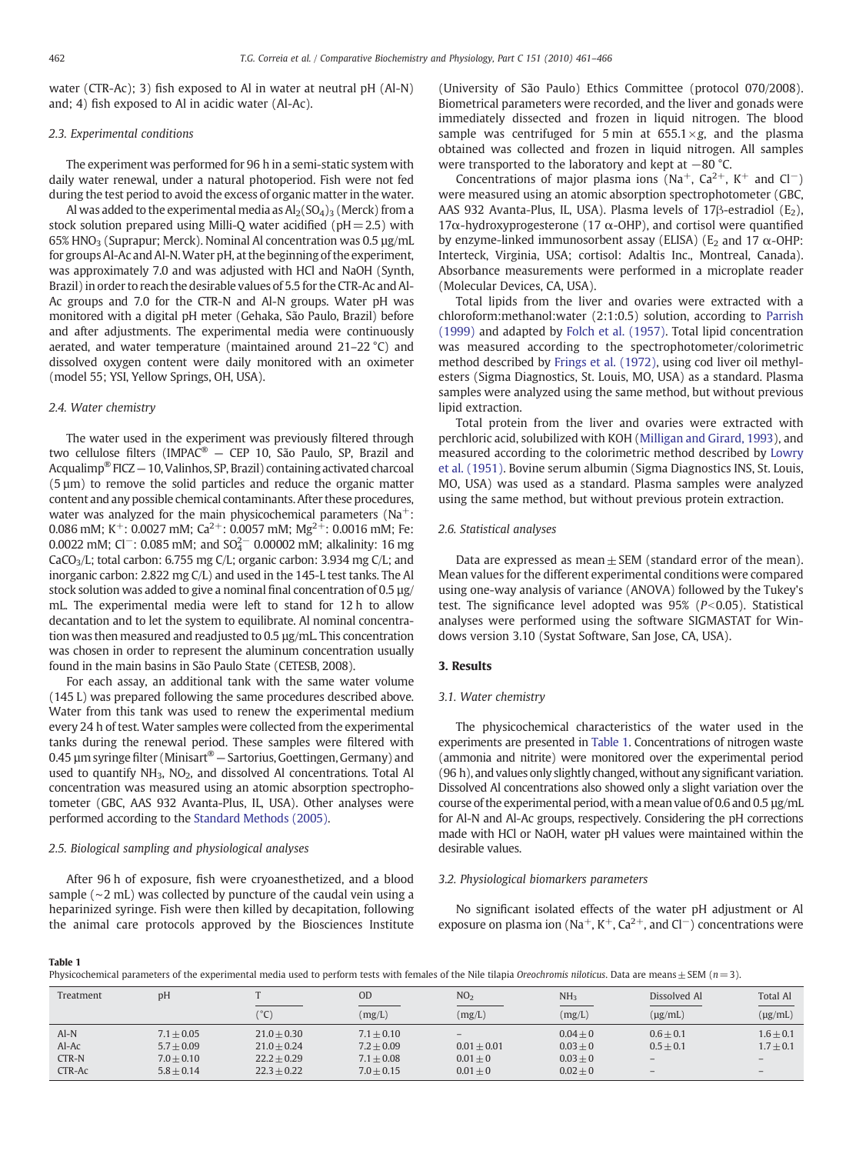water (CTR-Ac); 3) fish exposed to Al in water at neutral pH (Al-N) and; 4) fish exposed to Al in acidic water (Al-Ac).

#### 2.3. Experimental conditions

The experiment was performed for 96 h in a semi-static system with daily water renewal, under a natural photoperiod. Fish were not fed during the test period to avoid the excess of organic matter in the water.

Al was added to the experimental media as  $Al_2(SO_4)_3$  (Merck) from a stock solution prepared using Milli-Q water acidified ( $pH=2.5$ ) with  $65\%$  HNO<sub>3</sub> (Suprapur; Merck). Nominal Al concentration was 0.5 µg/mL for groups Al-Ac and Al-N.Water pH, at the beginning of the experiment, was approximately 7.0 and was adjusted with HCl and NaOH (Synth, Brazil) in order to reach the desirable values of 5.5 for the CTR-Ac and Al-Ac groups and 7.0 for the CTR-N and Al-N groups. Water pH was monitored with a digital pH meter (Gehaka, São Paulo, Brazil) before and after adjustments. The experimental media were continuously aerated, and water temperature (maintained around 21–22 °C) and dissolved oxygen content were daily monitored with an oximeter (model 55; YSI, Yellow Springs, OH, USA).

#### 2.4. Water chemistry

The water used in the experiment was previously filtered through two cellulose filters (IMPAC® — CEP 10, São Paulo, SP, Brazil and Acqualimp® FICZ — 10, Valinhos, SP, Brazil) containing activated charcoal (5 µm) to remove the solid particles and reduce the organic matter content and any possible chemical contaminants. After these procedures, water was analyzed for the main physicochemical parameters ( $Na^+$ : 0.086 mM; K<sup>+</sup>: 0.0027 mM; Ca<sup>2+</sup>: 0.0057 mM; Mg<sup>2+</sup>: 0.0016 mM; Fe: 0.0022 mM; Cl<sup>-</sup>: 0.085 mM; and  $SO_4^{2-}$  0.00002 mM; alkalinity: 16 mg CaCO<sub>3</sub>/L; total carbon: 6.755 mg C/L; organic carbon: 3.934 mg C/L; and inorganic carbon: 2.822 mg C/L) and used in the 145-L test tanks. The Al stock solution was added to give a nominal final concentration of 0.5 µg/ mL. The experimental media were left to stand for 12 h to allow decantation and to let the system to equilibrate. Al nominal concentration was then measured and readjusted to 0.5 µg/mL. This concentration was chosen in order to represent the aluminum concentration usually found in the main basins in São Paulo State (CETESB, 2008).

For each assay, an additional tank with the same water volume (145 L) was prepared following the same procedures described above. Water from this tank was used to renew the experimental medium every 24 h of test. Water samples were collected from the experimental tanks during the renewal period. These samples were filtered with 0.45 µm syringe filter (Minisart<sup>®</sup> – Sartorius, Goettingen, Germany) and used to quantify  $NH_3$ ,  $NO_2$ , and dissolved Al concentrations. Total Al concentration was measured using an atomic absorption spectrophotometer (GBC, AAS 932 Avanta-Plus, IL, USA). Other analyses were performed according to the [Standard Methods \(2005\)](#page-5-0).

#### 2.5. Biological sampling and physiological analyses

After 96 h of exposure, fish were cryoanesthetized, and a blood sample (∼2 mL) was collected by puncture of the caudal vein using a heparinized syringe. Fish were then killed by decapitation, following the animal care protocols approved by the Biosciences Institute

(University of São Paulo) Ethics Committee (protocol 070/2008). Biometrical parameters were recorded, and the liver and gonads were immediately dissected and frozen in liquid nitrogen. The blood sample was centrifuged for 5 min at  $655.1 \times g$ , and the plasma obtained was collected and frozen in liquid nitrogen. All samples were transported to the laboratory and kept at −80 °C.

Concentrations of major plasma ions (Na<sup>+</sup>, Ca<sup>2+</sup>, K<sup>+</sup> and Cl<sup>−</sup>) were measured using an atomic absorption spectrophotometer (GBC, AAS 932 Avanta-Plus, IL, USA). Plasma levels of 17 $\beta$ -estradiol (E<sub>2</sub>), 17 $\alpha$ -hydroxyprogesterone (17  $\alpha$ -OHP), and cortisol were quantified by enzyme-linked immunosorbent assay (ELISA) ( $E<sub>2</sub>$  and 17  $\alpha$ -OHP: Interteck, Virginia, USA; cortisol: Adaltis Inc., Montreal, Canada). Absorbance measurements were performed in a microplate reader (Molecular Devices, CA, USA).

Total lipids from the liver and ovaries were extracted with a chloroform:methanol:water (2:1:0.5) solution, according to [Parrish](#page-5-0) [\(1999\)](#page-5-0) and adapted by [Folch et al. \(1957\).](#page-5-0) Total lipid concentration was measured according to the spectrophotometer/colorimetric method described by [Frings et al. \(1972\),](#page-5-0) using cod liver oil methylesters (Sigma Diagnostics, St. Louis, MO, USA) as a standard. Plasma samples were analyzed using the same method, but without previous lipid extraction.

Total protein from the liver and ovaries were extracted with perchloric acid, solubilized with KOH [\(Milligan and Girard, 1993](#page-5-0)), and measured according to the colorimetric method described by [Lowry](#page-5-0) [et al. \(1951\)](#page-5-0). Bovine serum albumin (Sigma Diagnostics INS, St. Louis, MO, USA) was used as a standard. Plasma samples were analyzed using the same method, but without previous protein extraction.

#### 2.6. Statistical analyses

Data are expressed as mean  $\pm$  SEM (standard error of the mean). Mean values for the different experimental conditions were compared using one-way analysis of variance (ANOVA) followed by the Tukey's test. The significance level adopted was  $95\%$  ( $P<0.05$ ). Statistical analyses were performed using the software SIGMASTAT for Windows version 3.10 (Systat Software, San Jose, CA, USA).

#### 3. Results

#### 3.1. Water chemistry

The physicochemical characteristics of the water used in the experiments are presented in Table 1. Concentrations of nitrogen waste (ammonia and nitrite) were monitored over the experimental period (96 h), and values only slightly changed, without any significant variation. Dissolved Al concentrations also showed only a slight variation over the course of the experimental period, with a mean value of 0.6 and 0.5 µg/mL for Al-N and Al-Ac groups, respectively. Considering the pH corrections made with HCl or NaOH, water pH values were maintained within the desirable values.

#### 3.2. Physiological biomarkers parameters

No significant isolated effects of the water pH adjustment or Al exposure on plasma ion (Na<sup>+</sup>, K<sup>+</sup>, Ca<sup>2+</sup>, and Cl<sup>−</sup>) concentrations were

#### Table 1

Physicochemical parameters of the experimental media used to perform tests with females of the Nile tilapia Oreochromis niloticus. Data are means  $\pm$  SEM (n = 3).

| Treatment | DH           |               | <b>OD</b>    | NO <sub>2</sub>                 | NH <sub>3</sub> | Dissolved Al             | Total Al          |
|-----------|--------------|---------------|--------------|---------------------------------|-----------------|--------------------------|-------------------|
|           |              | (°C)          | (mg/L)       | (mg/L)                          | (mg/L)          | $(\mu g/mL)$             | $(\mu g/mL)$      |
| $Al-N$    | $7.1 + 0.05$ | $21.0 + 0.30$ | $7.1 + 0.10$ | $\hspace{0.1mm}-\hspace{0.1mm}$ | $0.04 + 0$      | $0.6 + 0.1$              | $1.6 \pm 0.1$     |
| $Al-Ac$   | $5.7 + 0.09$ | $21.0 + 0.24$ | $7.2 + 0.09$ | $0.01 + 0.01$                   | $0.03 \pm 0$    | $0.5 + 0.1$              | $1.7 \pm 0.1$     |
| $CTR-N$   | $7.0 + 0.10$ | $22.2 + 0.29$ | $7.1 + 0.08$ | $0.01 + 0$                      | $0.03 \pm 0$    | $\overline{\phantom{0}}$ | $\qquad \qquad -$ |
| CTR-Ac    | $5.8 + 0.14$ | $22.3 + 0.22$ | $7.0 + 0.15$ | $0.01 + 0$                      | $0.02 + 0$      | $\qquad \qquad -$        | $\qquad \qquad -$ |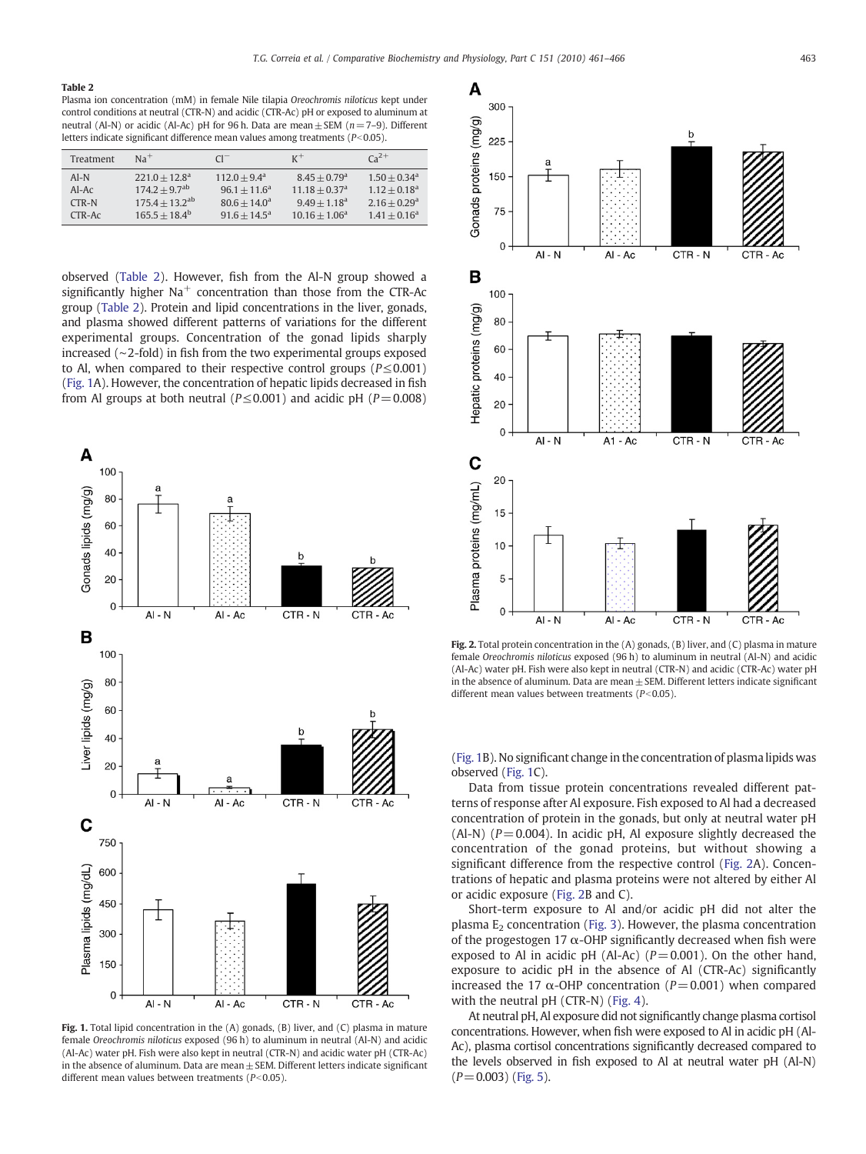#### Table 2

Plasma ion concentration (mM) in female Nile tilapia Oreochromis niloticus kept under control conditions at neutral (CTR-N) and acidic (CTR-Ac) pH or exposed to aluminum at neutral (Al-N) or acidic (Al-Ac) pH for 96 h. Data are mean  $\pm$  SEM (n=7–9). Different letters indicate significant difference mean values among treatments ( $P<0.05$ ).

| Treatment | $Na+$                        | $Cl^{-}$              | $K^+$                       | $Ca^{2+}$                  |
|-----------|------------------------------|-----------------------|-----------------------------|----------------------------|
| $AI-N$    | $221.0 + 12.8^a$             | $112.0 + 9.4^a$       | $8.45 + 0.79$ <sup>a</sup>  | $1.50 + 0.34$ <sup>a</sup> |
| $AI-Ac$   | $174.2 + 9.7$ <sup>ab</sup>  | $96.1 + 11.6^a$       | $11.18 + 0.37$ <sup>a</sup> | $1.12 + 0.18^a$            |
| $CTR-N$   | $175.4 + 13.2$ <sup>ab</sup> | $80.6 + 14.0^{\circ}$ | $9.49 + 1.18$ <sup>a</sup>  | $2.16 + 0.29$ <sup>a</sup> |
| $CTR-AC$  | $165.5 + 18.4^b$             | $91.6 + 14.5^{\circ}$ | $10.16 + 1.06^a$            | $1.41 + 0.16^a$            |

observed (Table 2). However, fish from the Al-N group showed a significantly higher  $Na<sup>+</sup>$  concentration than those from the CTR-Ac group (Table 2). Protein and lipid concentrations in the liver, gonads, and plasma showed different patterns of variations for the different experimental groups. Concentration of the gonad lipids sharply increased (∼2-fold) in fish from the two experimental groups exposed to Al, when compared to their respective control groups (P≤0.001) (Fig. 1A). However, the concentration of hepatic lipids decreased in fish from Al groups at both neutral ( $P \le 0.001$ ) and acidic pH ( $P = 0.008$ )



Fig. 1. Total lipid concentration in the (A) gonads, (B) liver, and (C) plasma in mature female Oreochromis niloticus exposed (96 h) to aluminum in neutral (Al-N) and acidic (Al-Ac) water pH. Fish were also kept in neutral (CTR-N) and acidic water pH (CTR-Ac) in the absence of aluminum. Data are mean $\pm$  SEM. Different letters indicate significant different mean values between treatments ( $P<0.05$ ).



Fig. 2. Total protein concentration in the (A) gonads, (B) liver, and (C) plasma in mature female Oreochromis niloticus exposed (96 h) to aluminum in neutral (Al-N) and acidic (Al-Ac) water pH. Fish were also kept in neutral (CTR-N) and acidic (CTR-Ac) water pH in the absence of aluminum. Data are mean $\pm$  SEM. Different letters indicate significant different mean values between treatments ( $P<0.05$ ).

(Fig. 1B). No significant change in the concentration of plasma lipids was observed (Fig. 1C).

Data from tissue protein concentrations revealed different patterns of response after Al exposure. Fish exposed to Al had a decreased concentration of protein in the gonads, but only at neutral water pH (Al-N) ( $P = 0.004$ ). In acidic pH, Al exposure slightly decreased the concentration of the gonad proteins, but without showing a significant difference from the respective control (Fig. 2A). Concentrations of hepatic and plasma proteins were not altered by either Al or acidic exposure (Fig. 2B and C).

Short-term exposure to Al and/or acidic pH did not alter the plasma  $E_2$  concentration [\(Fig. 3](#page-3-0)). However, the plasma concentration of the progestogen 17  $\alpha$ -OHP significantly decreased when fish were exposed to Al in acidic pH (Al-Ac) ( $P = 0.001$ ). On the other hand, exposure to acidic pH in the absence of Al (CTR-Ac) significantly increased the 17  $\alpha$ -OHP concentration ( $P = 0.001$ ) when compared with the neutral pH (CTR-N) [\(Fig. 4\)](#page-3-0).

At neutral pH, Al exposure did not significantly change plasma cortisol concentrations. However, when fish were exposed to Al in acidic pH (Al-Ac), plasma cortisol concentrations significantly decreased compared to the levels observed in fish exposed to Al at neutral water pH (Al-N)  $(P=0.003)$  ([Fig. 5\)](#page-3-0).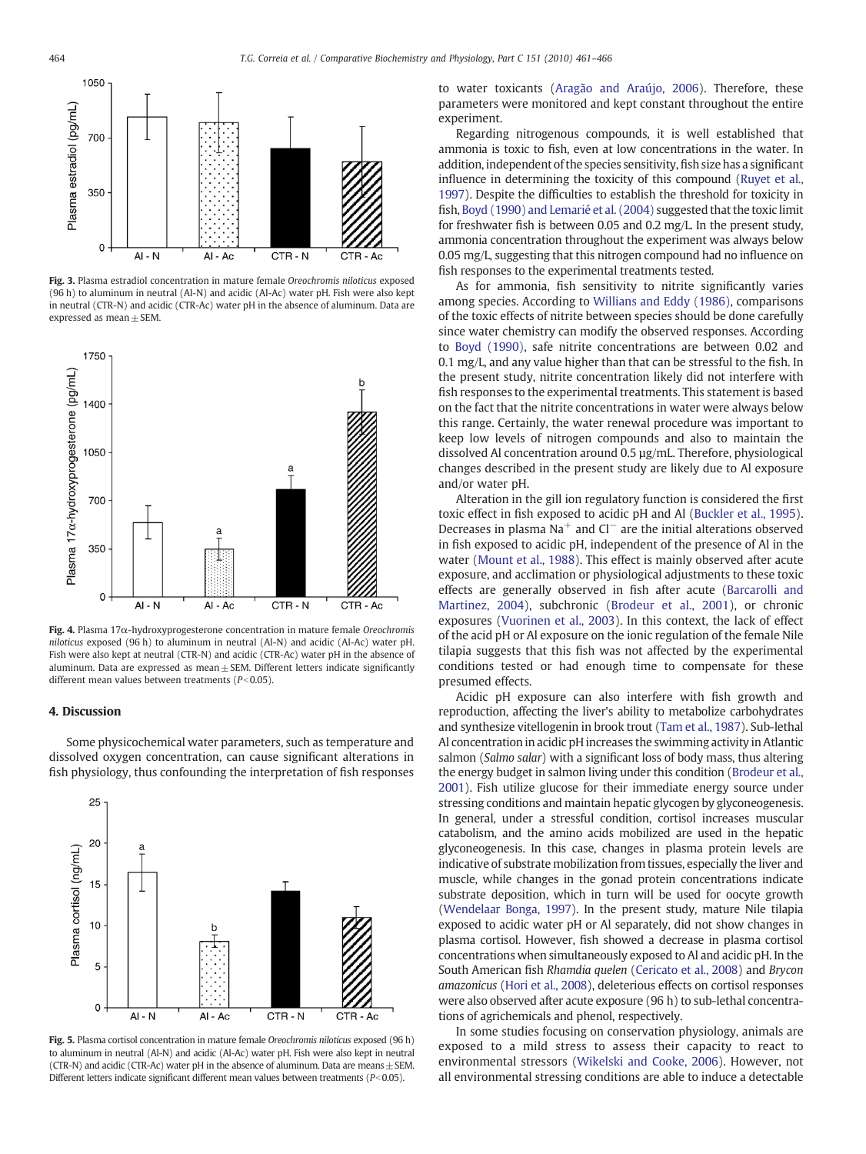<span id="page-3-0"></span>

Fig. 3. Plasma estradiol concentration in mature female Oreochromis niloticus exposed (96 h) to aluminum in neutral (Al-N) and acidic (Al-Ac) water pH. Fish were also kept in neutral (CTR-N) and acidic (CTR-Ac) water pH in the absence of aluminum. Data are expressed as mean  $\pm$  SEM.



Fig. 4. Plasma 17α-hydroxyprogesterone concentration in mature female Oreochromis niloticus exposed (96 h) to aluminum in neutral (Al-N) and acidic (Al-Ac) water pH. Fish were also kept at neutral (CTR-N) and acidic (CTR-Ac) water pH in the absence of aluminum. Data are expressed as mean $\pm$  SEM. Different letters indicate significantly different mean values between treatments ( $P$ <0.05).

#### 4. Discussion

Some physicochemical water parameters, such as temperature and dissolved oxygen concentration, can cause significant alterations in fish physiology, thus confounding the interpretation of fish responses



Fig. 5. Plasma cortisol concentration in mature female Oreochromis niloticus exposed (96 h) to aluminum in neutral (Al-N) and acidic (Al-Ac) water pH. Fish were also kept in neutral (CTR-N) and acidic (CTR-Ac) water pH in the absence of aluminum. Data are means  $\pm$  SEM. Different letters indicate significant different mean values between treatments ( $P<0.05$ ).

to water toxicants [\(Aragão and Araújo, 2006\)](#page-5-0). Therefore, these parameters were monitored and kept constant throughout the entire experiment.

Regarding nitrogenous compounds, it is well established that ammonia is toxic to fish, even at low concentrations in the water. In addition, independent of the species sensitivity, fish size has a significant influence in determining the toxicity of this compound ([Ruyet et al.,](#page-5-0) [1997\)](#page-5-0). Despite the difficulties to establish the threshold for toxicity in fish, [Boyd \(1990\) and Lemarié et al. \(2004\)](#page-5-0) suggested that the toxic limit for freshwater fish is between 0.05 and 0.2 mg/L. In the present study, ammonia concentration throughout the experiment was always below 0.05 mg/L, suggesting that this nitrogen compound had no influence on fish responses to the experimental treatments tested.

As for ammonia, fish sensitivity to nitrite significantly varies among species. According to [Willians and Eddy \(1986\)](#page-5-0), comparisons of the toxic effects of nitrite between species should be done carefully since water chemistry can modify the observed responses. According to [Boyd \(1990\),](#page-5-0) safe nitrite concentrations are between 0.02 and 0.1 mg/L, and any value higher than that can be stressful to the fish. In the present study, nitrite concentration likely did not interfere with fish responses to the experimental treatments. This statement is based on the fact that the nitrite concentrations in water were always below this range. Certainly, the water renewal procedure was important to keep low levels of nitrogen compounds and also to maintain the dissolved Al concentration around 0.5 µg/mL. Therefore, physiological changes described in the present study are likely due to Al exposure and/or water pH.

Alteration in the gill ion regulatory function is considered the first toxic effect in fish exposed to acidic pH and Al ([Buckler et al., 1995](#page-5-0)). Decreases in plasma Na<sup>+</sup> and Cl<sup>−</sup> are the initial alterations observed in fish exposed to acidic pH, independent of the presence of Al in the water ([Mount et al., 1988](#page-5-0)). This effect is mainly observed after acute exposure, and acclimation or physiological adjustments to these toxic effects are generally observed in fish after acute [\(Barcarolli and](#page-5-0) [Martinez, 2004\)](#page-5-0), subchronic [\(Brodeur et al., 2001\)](#page-5-0), or chronic exposures [\(Vuorinen et al., 2003](#page-5-0)). In this context, the lack of effect of the acid pH or Al exposure on the ionic regulation of the female Nile tilapia suggests that this fish was not affected by the experimental conditions tested or had enough time to compensate for these presumed effects.

Acidic pH exposure can also interfere with fish growth and reproduction, affecting the liver's ability to metabolize carbohydrates and synthesize vitellogenin in brook trout [\(Tam et al., 1987](#page-5-0)). Sub-lethal Al concentration in acidic pH increases the swimming activity in Atlantic salmon (Salmo salar) with a significant loss of body mass, thus altering the energy budget in salmon living under this condition ([Brodeur et al.,](#page-5-0) [2001\)](#page-5-0). Fish utilize glucose for their immediate energy source under stressing conditions and maintain hepatic glycogen by glyconeogenesis. In general, under a stressful condition, cortisol increases muscular catabolism, and the amino acids mobilized are used in the hepatic glyconeogenesis. In this case, changes in plasma protein levels are indicative of substrate mobilization from tissues, especially the liver and muscle, while changes in the gonad protein concentrations indicate substrate deposition, which in turn will be used for oocyte growth [\(Wendelaar Bonga, 1997\)](#page-5-0). In the present study, mature Nile tilapia exposed to acidic water pH or Al separately, did not show changes in plasma cortisol. However, fish showed a decrease in plasma cortisol concentrations when simultaneously exposed to Al and acidic pH. In the South American fish Rhamdia quelen [\(Cericato et al., 2008\)](#page-5-0) and Brycon amazonicus ([Hori et al., 2008\)](#page-5-0), deleterious effects on cortisol responses were also observed after acute exposure (96 h) to sub-lethal concentrations of agrichemicals and phenol, respectively.

In some studies focusing on conservation physiology, animals are exposed to a mild stress to assess their capacity to react to environmental stressors [\(Wikelski and Cooke, 2006](#page-5-0)). However, not all environmental stressing conditions are able to induce a detectable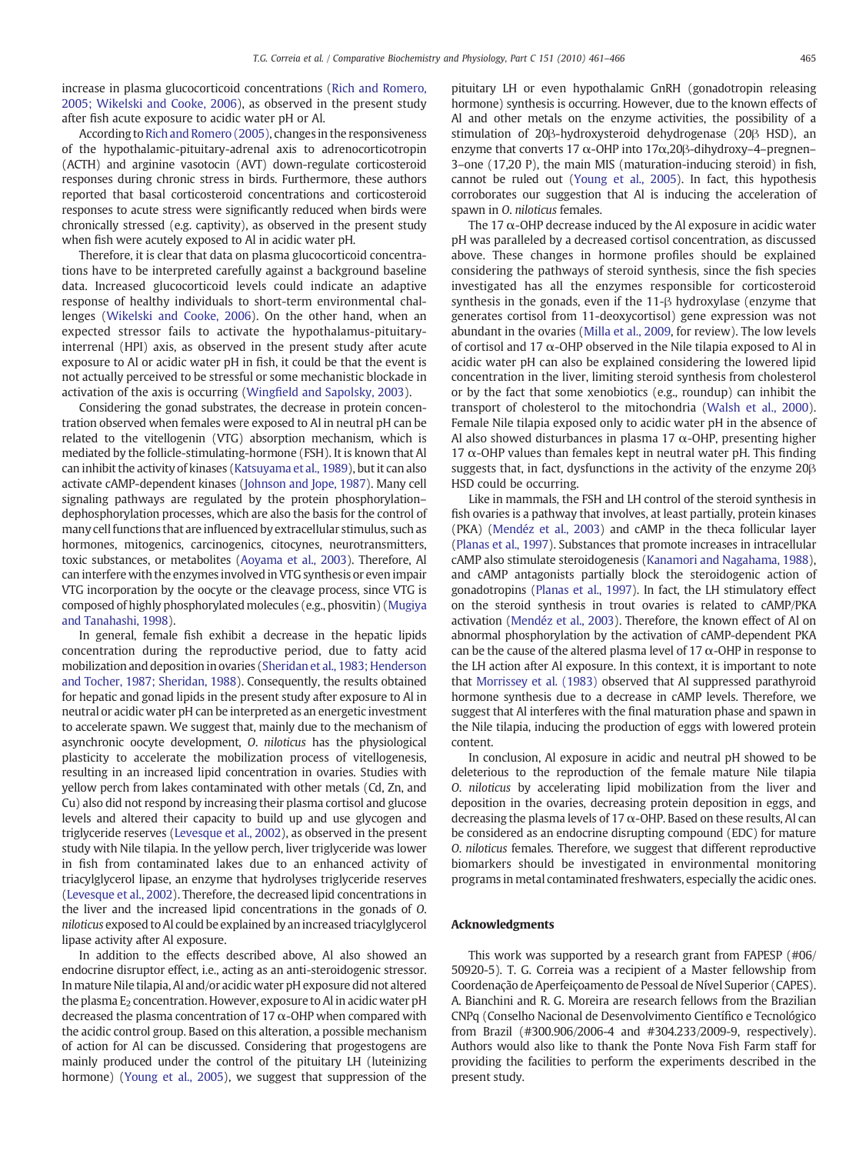increase in plasma glucocorticoid concentrations [\(Rich and Romero,](#page-5-0) [2005; Wikelski and Cooke, 2006\)](#page-5-0), as observed in the present study after fish acute exposure to acidic water pH or Al.

According to [Rich and Romero \(2005\)](#page-5-0), changes in the responsiveness of the hypothalamic-pituitary-adrenal axis to adrenocorticotropin (ACTH) and arginine vasotocin (AVT) down-regulate corticosteroid responses during chronic stress in birds. Furthermore, these authors reported that basal corticosteroid concentrations and corticosteroid responses to acute stress were significantly reduced when birds were chronically stressed (e.g. captivity), as observed in the present study when fish were acutely exposed to Al in acidic water pH.

Therefore, it is clear that data on plasma glucocorticoid concentrations have to be interpreted carefully against a background baseline data. Increased glucocorticoid levels could indicate an adaptive response of healthy individuals to short-term environmental challenges [\(Wikelski and Cooke, 2006\)](#page-5-0). On the other hand, when an expected stressor fails to activate the hypothalamus-pituitaryinterrenal (HPI) axis, as observed in the present study after acute exposure to Al or acidic water pH in fish, it could be that the event is not actually perceived to be stressful or some mechanistic blockade in activation of the axis is occurring (Wingfi[eld and Sapolsky, 2003](#page-5-0)).

Considering the gonad substrates, the decrease in protein concentration observed when females were exposed to Al in neutral pH can be related to the vitellogenin (VTG) absorption mechanism, which is mediated by the follicle-stimulating-hormone (FSH). It is known that Al can inhibit the activity of kinases [\(Katsuyama et al., 1989](#page-5-0)), but it can also activate cAMP-dependent kinases [\(Johnson and Jope, 1987\)](#page-5-0). Many cell signaling pathways are regulated by the protein phosphorylation– dephosphorylation processes, which are also the basis for the control of many cell functions that are influenced by extracellular stimulus, such as hormones, mitogenics, carcinogenics, citocynes, neurotransmitters, toxic substances, or metabolites ([Aoyama et al., 2003\)](#page-5-0). Therefore, Al can interfere with the enzymes involved in VTG synthesis or even impair VTG incorporation by the oocyte or the cleavage process, since VTG is composed of highly phosphorylated molecules (e.g., phosvitin) [\(Mugiya](#page-5-0) [and Tanahashi, 1998\)](#page-5-0).

In general, female fish exhibit a decrease in the hepatic lipids concentration during the reproductive period, due to fatty acid mobilization and deposition in ovaries ([Sheridan et al., 1983; Henderson](#page-5-0) [and Tocher, 1987; Sheridan, 1988\)](#page-5-0). Consequently, the results obtained for hepatic and gonad lipids in the present study after exposure to Al in neutral or acidic water pH can be interpreted as an energetic investment to accelerate spawn. We suggest that, mainly due to the mechanism of asynchronic oocyte development, O. niloticus has the physiological plasticity to accelerate the mobilization process of vitellogenesis, resulting in an increased lipid concentration in ovaries. Studies with yellow perch from lakes contaminated with other metals (Cd, Zn, and Cu) also did not respond by increasing their plasma cortisol and glucose levels and altered their capacity to build up and use glycogen and triglyceride reserves [\(Levesque et al., 2002](#page-5-0)), as observed in the present study with Nile tilapia. In the yellow perch, liver triglyceride was lower in fish from contaminated lakes due to an enhanced activity of triacylglycerol lipase, an enzyme that hydrolyses triglyceride reserves [\(Levesque et al., 2002\)](#page-5-0). Therefore, the decreased lipid concentrations in the liver and the increased lipid concentrations in the gonads of O. niloticus exposed to Al could be explained by an increased triacylglycerol lipase activity after Al exposure.

In addition to the effects described above, Al also showed an endocrine disruptor effect, i.e., acting as an anti-steroidogenic stressor. In mature Nile tilapia, Al and/or acidic water pH exposure did not altered the plasma  $E_2$  concentration. However, exposure to Al in acidic water pH decreased the plasma concentration of 17  $\alpha$ -OHP when compared with the acidic control group. Based on this alteration, a possible mechanism of action for Al can be discussed. Considering that progestogens are mainly produced under the control of the pituitary LH (luteinizing hormone) ([Young et al., 2005\)](#page-5-0), we suggest that suppression of the pituitary LH or even hypothalamic GnRH (gonadotropin releasing hormone) synthesis is occurring. However, due to the known effects of Al and other metals on the enzyme activities, the possibility of a stimulation of 20β-hydroxysteroid dehydrogenase (20β HSD), an enzyme that converts 17  $\alpha$ -OHP into 17 $\alpha$ , 20 $\beta$ -dihydroxy-4-pregnen– 3–one (17,20 P), the main MIS (maturation-inducing steroid) in fish, cannot be ruled out [\(Young et al., 2005](#page-5-0)). In fact, this hypothesis corroborates our suggestion that Al is inducing the acceleration of spawn in O. niloticus females.

The 17  $\alpha$ -OHP decrease induced by the Al exposure in acidic water pH was paralleled by a decreased cortisol concentration, as discussed above. These changes in hormone profiles should be explained considering the pathways of steroid synthesis, since the fish species investigated has all the enzymes responsible for corticosteroid synthesis in the gonads, even if the 11-β hydroxylase (enzyme that generates cortisol from 11-deoxycortisol) gene expression was not abundant in the ovaries ([Milla et al., 2009](#page-5-0), for review). The low levels of cortisol and 17  $\alpha$ -OHP observed in the Nile tilapia exposed to Al in acidic water pH can also be explained considering the lowered lipid concentration in the liver, limiting steroid synthesis from cholesterol or by the fact that some xenobiotics (e.g., roundup) can inhibit the transport of cholesterol to the mitochondria [\(Walsh et al., 2000](#page-5-0)). Female Nile tilapia exposed only to acidic water pH in the absence of Al also showed disturbances in plasma 17  $\alpha$ -OHP, presenting higher 17  $\alpha$ -OHP values than females kept in neutral water pH. This finding suggests that, in fact, dysfunctions in the activity of the enzyme 20β HSD could be occurring.

Like in mammals, the FSH and LH control of the steroid synthesis in fish ovaries is a pathway that involves, at least partially, protein kinases (PKA) [\(Mendéz et al., 2003\)](#page-5-0) and cAMP in the theca follicular layer [\(Planas et al., 1997](#page-5-0)). Substances that promote increases in intracellular cAMP also stimulate steroidogenesis [\(Kanamori and Nagahama, 1988](#page-5-0)), and cAMP antagonists partially block the steroidogenic action of gonadotropins ([Planas et al., 1997\)](#page-5-0). In fact, the LH stimulatory effect on the steroid synthesis in trout ovaries is related to cAMP/PKA activation ([Mendéz et al., 2003](#page-5-0)). Therefore, the known effect of Al on abnormal phosphorylation by the activation of cAMP-dependent PKA can be the cause of the altered plasma level of 17  $\alpha$ -OHP in response to the LH action after Al exposure. In this context, it is important to note that [Morrissey et al. \(1983\)](#page-5-0) observed that Al suppressed parathyroid hormone synthesis due to a decrease in cAMP levels. Therefore, we suggest that Al interferes with the final maturation phase and spawn in the Nile tilapia, inducing the production of eggs with lowered protein content.

In conclusion, Al exposure in acidic and neutral pH showed to be deleterious to the reproduction of the female mature Nile tilapia O. niloticus by accelerating lipid mobilization from the liver and deposition in the ovaries, decreasing protein deposition in eggs, and decreasing the plasma levels of 17  $\alpha$ -OHP. Based on these results, Al can be considered as an endocrine disrupting compound (EDC) for mature O. niloticus females. Therefore, we suggest that different reproductive biomarkers should be investigated in environmental monitoring programs in metal contaminated freshwaters, especially the acidic ones.

#### Acknowledgments

This work was supported by a research grant from FAPESP (#06/ 50920-5). T. G. Correia was a recipient of a Master fellowship from Coordenação de Aperfeiçoamento de Pessoal de Nível Superior (CAPES). A. Bianchini and R. G. Moreira are research fellows from the Brazilian CNPq (Conselho Nacional de Desenvolvimento Científico e Tecnológico from Brazil (#300.906/2006-4 and #304.233/2009-9, respectively). Authors would also like to thank the Ponte Nova Fish Farm staff for providing the facilities to perform the experiments described in the present study.